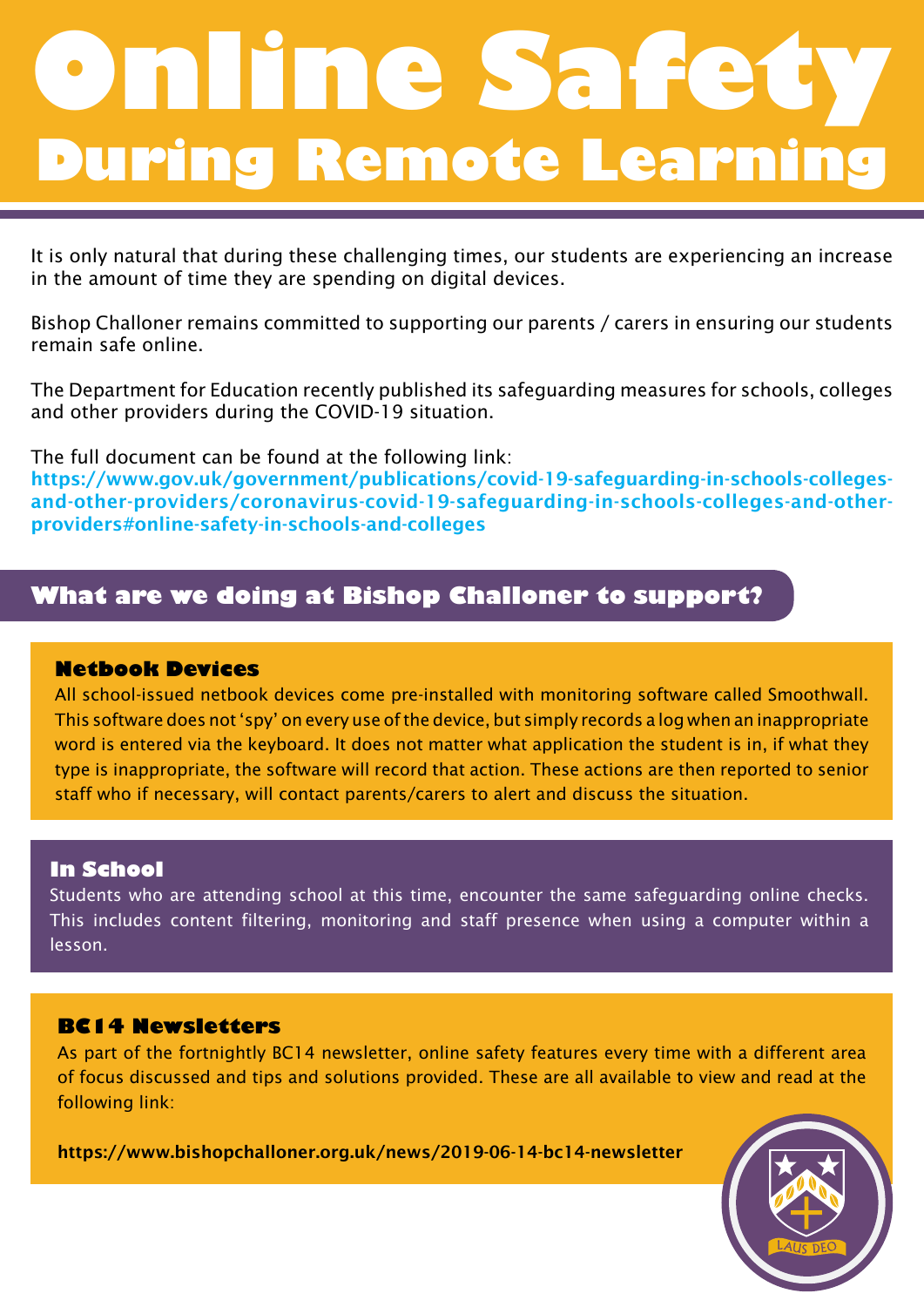# **During Remote Learning Online Safety**

It is only natural that during these challenging times, our students are experiencing an increase in the amount of time they are spending on digital devices.

Bishop Challoner remains committed to supporting our parents / carers in ensuring our students remain safe online.

The Department for Education recently published its safeguarding measures for schools, colleges and other providers during the COVID-19 situation.

The full document can be found at the following link:

https://www.gov.uk/government/publications/covid-19-safeguarding-in-schools-collegesand-other-providers/coronavirus-covid-19-safeguarding-in-schools-colleges-and-otherproviders#online-safety-in-schools-and-colleges

# **What are we doing at Bishop Challoner to support?**

# **Netbook Devices**

All school-issued netbook devices come pre-installed with monitoring software called Smoothwall. This software does not 'spy' on every use of the device, but simply records a log when an inappropriate word is entered via the keyboard. It does not matter what application the student is in, if what they type is inappropriate, the software will record that action. These actions are then reported to senior staff who if necessary, will contact parents/carers to alert and discuss the situation.

# **In School**

Students who are attending school at this time, encounter the same safeguarding online checks. This includes content filtering, monitoring and staff presence when using a computer within a lesson.

# **BC14 Newsletters**

As part of the fortnightly BC14 newsletter, online safety features every time with a different area of focus discussed and tips and solutions provided. These are all available to view and read at the following link:

https://www.bishopchalloner.org.uk/news/2019-06-14-bc14-newsletter

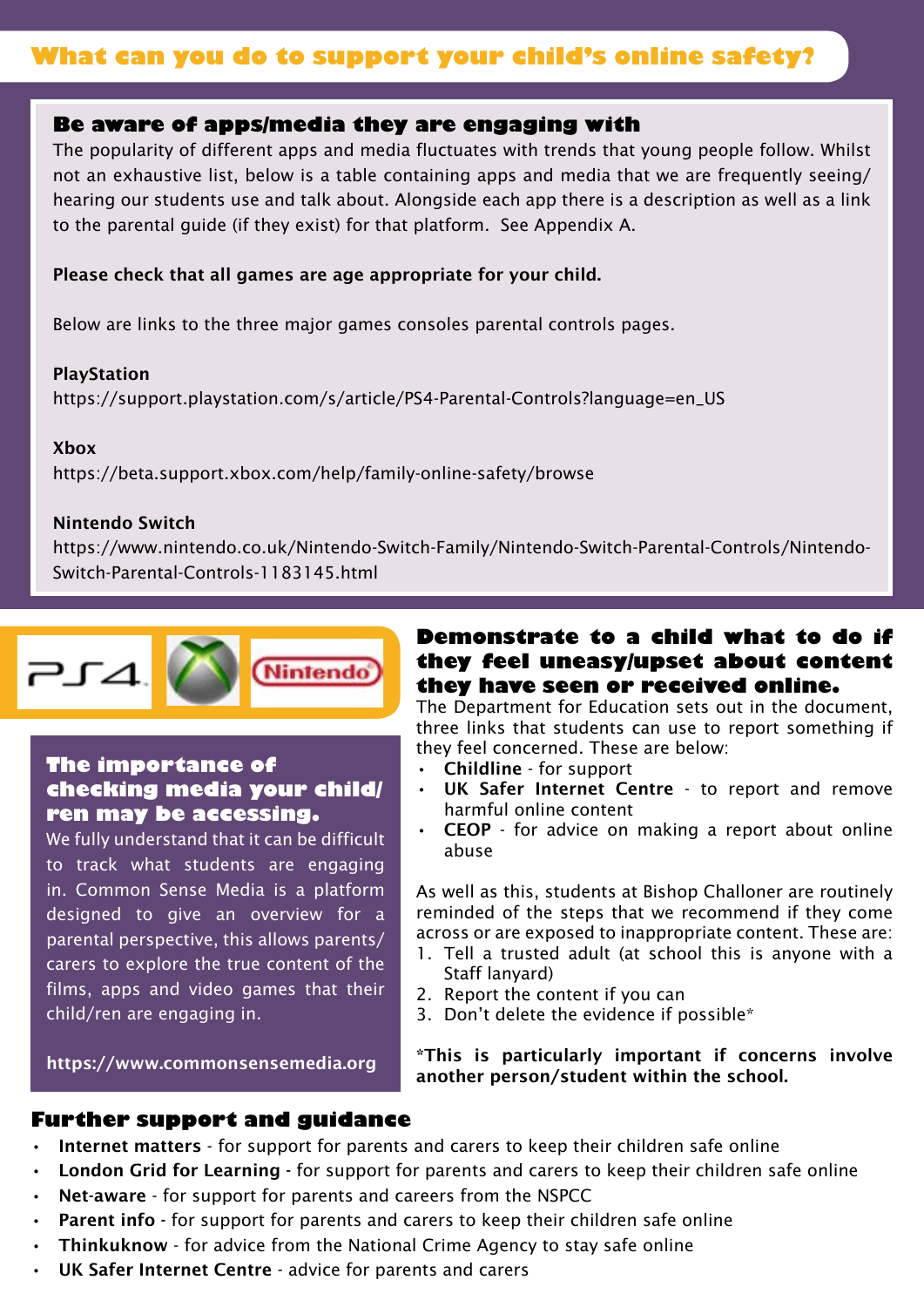# **What can you do to support your child's online safety?**

### **Be aware of apps/media they are engaging with**

The popularity of different apps and media fluctuates with trends that young people follow. Whilst not an exhaustive list, below is a table containing apps and media that we are frequently seeing/ hearing our students use and talk about. Alongside each app there is a description as well as a link to the parental guide (if they exist) for that platform. See Appendix A.

#### Please check that all games are age appropriate for your child.

Below are links to the three major games consoles parental controls pages.

#### PlayStation

https://support.playstation.com/s/article/PS4-Parental-Controls?language=en\_US

#### Xbox

https://beta.support.xbox.com/help/family-online-safety/browse

#### Nintendo Switch

https://www.nintendo.co.uk/Nintendo-Switch-Family/Nintendo-Switch-Parental-Controls/Nintendo-Switch-Parental-Controls-1183145.html



## **The importance of checking media your child/ ren may be accessing.**

We fully understand that it can be difficult to track what students are engaging in. Common Sense Media is a platform designed to give an overview for a parental perspective, this allows parents/ carers to explore the true content of the films, apps and video games that their child/ren are engaging in.

https://www.commonsensemedia.org

# **Demonstrate to a child what to do if they feel uneasy/upset about content they have seen or received online.**

The Department for Education sets out in the document, three links that students can use to report something if they feel concerned. These are below:

- Childline for support
- UK Safer Internet Centre to report and remove harmful online content
- CEOP for advice on making a report about online abuse

As well as this, students at Bishop Challoner are routinely reminded of the steps that we recommend if they come across or are exposed to inappropriate content. These are:

- 1. Tell a trusted adult (at school this is anyone with a Staff lanyard)
- 2. Report the content if you can
- 3. Don't delete the evidence if possible\*

\*This is particularly important if concerns involve another person/student within the school.

#### **Further support and guidance**

- Internet matters for support for parents and carers to keep their children safe online
- London Grid for Learning for support for parents and carers to keep their children safe online
- Net-aware for support for parents and careers from the NSPCC
- Parent info for support for parents and carers to keep their children safe online
- Thinkuknow for advice from the National Crime Agency to stay safe online
- UK Safer Internet Centre advice for parents and carers